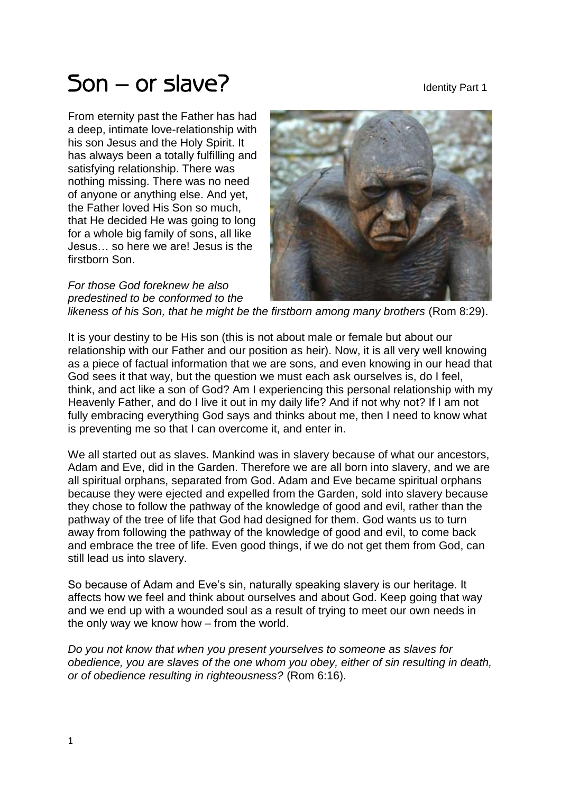## $50n - or slave?$

From eternity past the Father has had a deep, intimate love-relationship with his son Jesus and the Holy Spirit. It has always been a totally fulfilling and satisfying relationship. There was nothing missing. There was no need of anyone or anything else. And yet, the Father loved His Son so much, that He decided He was going to long for a whole big family of sons, all like Jesus… so here we are! Jesus is the firstborn Son.

*For those God foreknew he also predestined to be conformed to the* 



*likeness of his Son, that he might be the firstborn among many brothers* (Rom 8:29).

It is your destiny to be His son (this is not about male or female but about our relationship with our Father and our position as heir). Now, it is all very well knowing as a piece of factual information that we are sons, and even knowing in our head that God sees it that way, but the question we must each ask ourselves is, do I feel, think, and act like a son of God? Am I experiencing this personal relationship with my Heavenly Father, and do I live it out in my daily life? And if not why not? If I am not fully embracing everything God says and thinks about me, then I need to know what is preventing me so that I can overcome it, and enter in.

We all started out as slaves. Mankind was in slavery because of what our ancestors, Adam and Eve, did in the Garden. Therefore we are all born into slavery, and we are all spiritual orphans, separated from God. Adam and Eve became spiritual orphans because they were ejected and expelled from the Garden, sold into slavery because they chose to follow the pathway of the knowledge of good and evil, rather than the pathway of the tree of life that God had designed for them. God wants us to turn away from following the pathway of the knowledge of good and evil, to come back and embrace the tree of life. Even good things, if we do not get them from God, can still lead us into slavery.

So because of Adam and Eve's sin, naturally speaking slavery is our heritage. It affects how we feel and think about ourselves and about God. Keep going that way and we end up with a wounded soul as a result of trying to meet our own needs in the only way we know how – from the world.

*Do you not know that when you present yourselves to someone as slaves for obedience, you are slaves of the one whom you obey, either of sin resulting in death, or of obedience resulting in righteousness?* (Rom 6:16).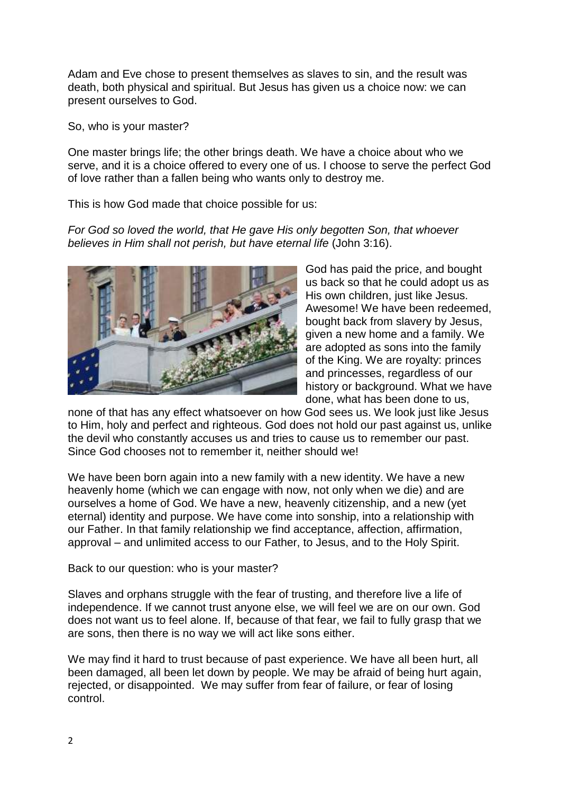Adam and Eve chose to present themselves as slaves to sin, and the result was death, both physical and spiritual. But Jesus has given us a choice now: we can present ourselves to God.

So, who is your master?

One master brings life; the other brings death. We have a choice about who we serve, and it is a choice offered to every one of us. I choose to serve the perfect God of love rather than a fallen being who wants only to destroy me.

This is how God made that choice possible for us:

*For God so loved the world, that He gave His only begotten Son, that whoever believes in Him shall not perish, but have eternal life* (John 3:16).



God has paid the price, and bought us back so that he could adopt us as His own children, just like Jesus. Awesome! We have been redeemed, bought back from slavery by Jesus, given a new home and a family. We are adopted as sons into the family of the King. We are royalty: princes and princesses, regardless of our history or background. What we have done, what has been done to us,

none of that has any effect whatsoever on how God sees us. We look just like Jesus to Him, holy and perfect and righteous. God does not hold our past against us, unlike the devil who constantly accuses us and tries to cause us to remember our past. Since God chooses not to remember it, neither should we!

We have been born again into a new family with a new identity. We have a new heavenly home (which we can engage with now, not only when we die) and are ourselves a home of God. We have a new, heavenly citizenship, and a new (yet eternal) identity and purpose. We have come into sonship, into a relationship with our Father. In that family relationship we find acceptance, affection, affirmation, approval – and unlimited access to our Father, to Jesus, and to the Holy Spirit.

Back to our question: who is your master?

Slaves and orphans struggle with the fear of trusting, and therefore live a life of independence. If we cannot trust anyone else, we will feel we are on our own. God does not want us to feel alone. If, because of that fear, we fail to fully grasp that we are sons, then there is no way we will act like sons either.

We may find it hard to trust because of past experience. We have all been hurt, all been damaged, all been let down by people. We may be afraid of being hurt again, rejected, or disappointed. We may suffer from fear of failure, or fear of losing control.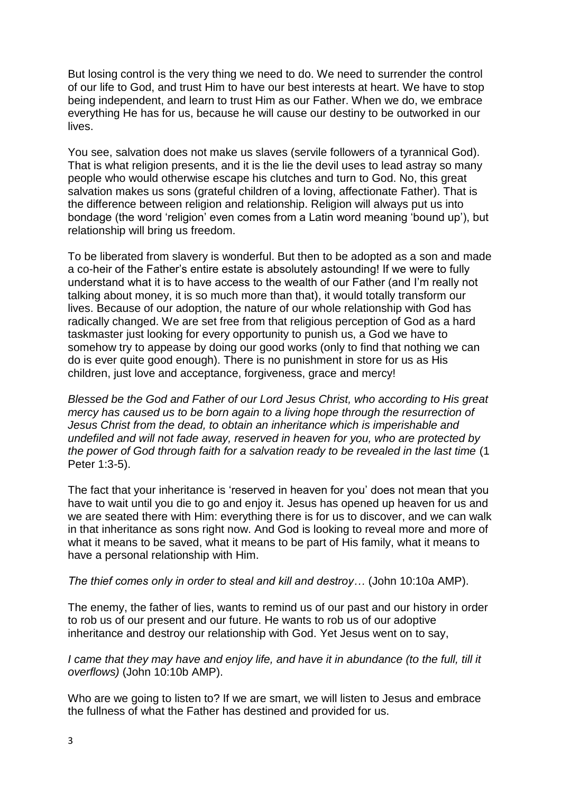But losing control is the very thing we need to do. We need to surrender the control of our life to God, and trust Him to have our best interests at heart. We have to stop being independent, and learn to trust Him as our Father. When we do, we embrace everything He has for us, because he will cause our destiny to be outworked in our lives.

You see, salvation does not make us slaves (servile followers of a tyrannical God). That is what religion presents, and it is the lie the devil uses to lead astray so many people who would otherwise escape his clutches and turn to God. No, this great salvation makes us sons (grateful children of a loving, affectionate Father). That is the difference between religion and relationship. Religion will always put us into bondage (the word 'religion' even comes from a Latin word meaning 'bound up'), but relationship will bring us freedom.

To be liberated from slavery is wonderful. But then to be adopted as a son and made a co-heir of the Father's entire estate is absolutely astounding! If we were to fully understand what it is to have access to the wealth of our Father (and I'm really not talking about money, it is so much more than that), it would totally transform our lives. Because of our adoption, the nature of our whole relationship with God has radically changed. We are set free from that religious perception of God as a hard taskmaster just looking for every opportunity to punish us, a God we have to somehow try to appease by doing our good works (only to find that nothing we can do is ever quite good enough). There is no punishment in store for us as His children, just love and acceptance, forgiveness, grace and mercy!

*Blessed be the God and Father of our Lord Jesus Christ, who according to His great mercy has caused us to be born again to a living hope through the resurrection of Jesus Christ from the dead, to obtain an inheritance which is imperishable and undefiled and will not fade away, reserved in heaven for you, who are protected by the power of God through faith for a salvation ready to be revealed in the last time* (1 Peter 1:3-5).

The fact that your inheritance is 'reserved in heaven for you' does not mean that you have to wait until you die to go and enjoy it. Jesus has opened up heaven for us and we are seated there with Him: everything there is for us to discover, and we can walk in that inheritance as sons right now. And God is looking to reveal more and more of what it means to be saved, what it means to be part of His family, what it means to have a personal relationship with Him.

*The thief comes only in order to steal and kill and destroy…* (John 10:10a AMP).

The enemy, the father of lies, wants to remind us of our past and our history in order to rob us of our present and our future. He wants to rob us of our adoptive inheritance and destroy our relationship with God. Yet Jesus went on to say,

*I came that they may have and enjoy life, and have it in abundance (to the full, till it overflows)* (John 10:10b AMP).

Who are we going to listen to? If we are smart, we will listen to Jesus and embrace the fullness of what the Father has destined and provided for us.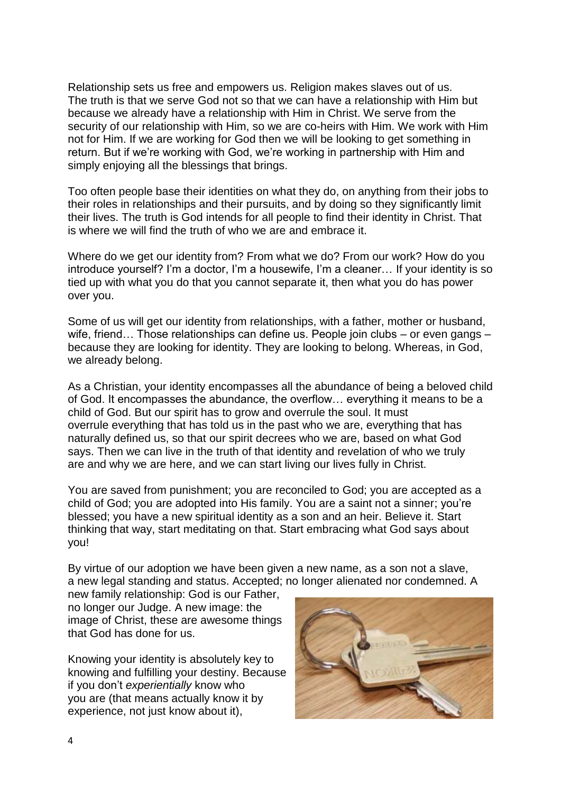Relationship sets us free and empowers us. Religion makes slaves out of us. The truth is that we serve God not so that we can have a relationship with Him but because we already have a relationship with Him in Christ. We serve from the security of our relationship with Him, so we are co-heirs with Him. We work with Him not for Him. If we are working for God then we will be looking to get something in return. But if we're working with God, we're working in partnership with Him and simply enjoying all the blessings that brings.

Too often people base their identities on what they do, on anything from their jobs to their roles in relationships and their pursuits, and by doing so they significantly limit their lives. The truth is God intends for all people to find their identity in Christ. That is where we will find the truth of who we are and embrace it.

Where do we get our identity from? From what we do? From our work? How do you introduce yourself? I'm a doctor, I'm a housewife, I'm a cleaner… If your identity is so tied up with what you do that you cannot separate it, then what you do has power over you.

Some of us will get our identity from relationships, with a father, mother or husband, wife, friend... Those relationships can define us. People join clubs – or even gangs – because they are looking for identity. They are looking to belong. Whereas, in God, we already belong.

As a Christian, your identity encompasses all the abundance of being a beloved child of God. It encompasses the abundance, the overflow… everything it means to be a child of God. But our spirit has to grow and overrule the soul. It must overrule everything that has told us in the past who we are, everything that has naturally defined us, so that our spirit decrees who we are, based on what God says. Then we can live in the truth of that identity and revelation of who we truly are and why we are here, and we can start living our lives fully in Christ.

You are saved from punishment; you are reconciled to God; you are accepted as a child of God; you are adopted into His family. You are a saint not a sinner; you're blessed; you have a new spiritual identity as a son and an heir. Believe it. Start thinking that way, start meditating on that. Start embracing what God says about you!

By virtue of our adoption we have been given a new name, as a son not a slave, a new legal standing and status. Accepted; no longer alienated nor condemned. A

new family relationship: God is our Father, no longer our Judge. A new image: the image of Christ, these are awesome things that God has done for us.

Knowing your identity is absolutely key to knowing and fulfilling your destiny. Because if you don't *experientially* know who you are (that means actually know it by experience, not just know about it),